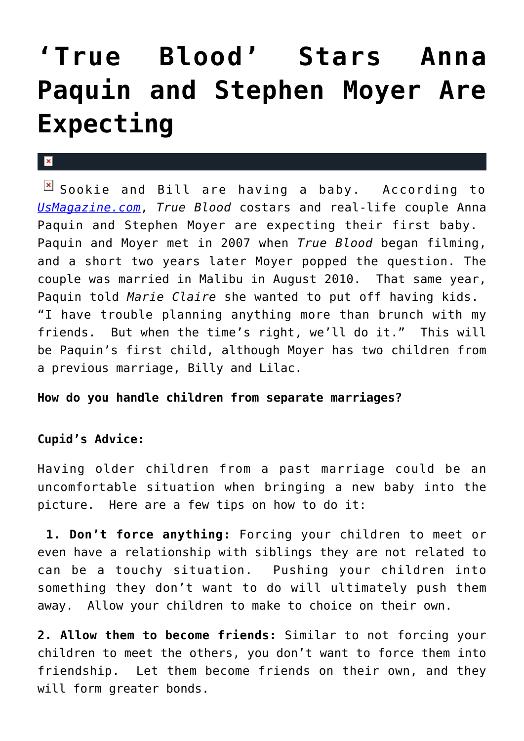## **['True Blood' Stars Anna](https://cupidspulse.com/30325/true-blood-stars-anna-paquin-stephen-moyer-expecting-child-pregnant/) [Paquin and Stephen Moyer Are](https://cupidspulse.com/30325/true-blood-stars-anna-paquin-stephen-moyer-expecting-child-pregnant/) [Expecting](https://cupidspulse.com/30325/true-blood-stars-anna-paquin-stephen-moyer-expecting-child-pregnant/)**

## $\mathbf{x}$

 $\boxed{\times}$  Sookie and Bill are having a baby. According to *[UsMagazine.com](http://www.usmagazine.com/)*, *True Blood* costars and real-life couple Anna Paquin and Stephen Moyer are expecting their first baby. Paquin and Moyer met in 2007 when *True Blood* began filming, and a short two years later Moyer popped the question. The couple was married in Malibu in August 2010. That same year, Paquin told *Marie Claire* she wanted to put off having kids. "I have trouble planning anything more than brunch with my friends. But when the time's right, we'll do it." This will be Paquin's first child, although Moyer has two children from a previous marriage, Billy and Lilac.

## **How do you handle children from separate marriages?**

## **Cupid's Advice:**

Having older children from a past marriage could be an uncomfortable situation when bringing a new baby into the picture. Here are a few tips on how to do it:

**1. Don't force anything:** Forcing your children to meet or even have a relationship with siblings they are not related to can be a touchy situation. Pushing your children into something they don't want to do will ultimately push them away. Allow your children to make to choice on their own.

**2. Allow them to become friends:** Similar to not forcing your children to meet the others, you don't want to force them into friendship. Let them become friends on their own, and they will form greater bonds.